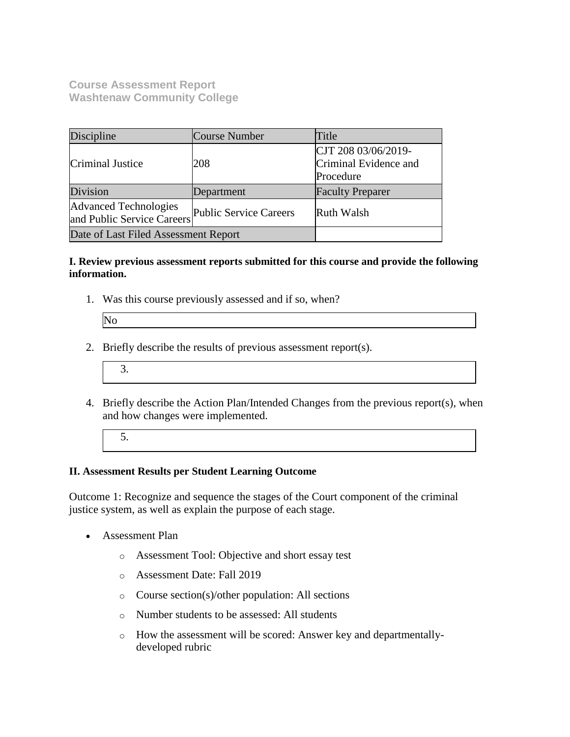**Course Assessment Report Washtenaw Community College**

| Discipline                                          | Course Number          | Title                                                     |
|-----------------------------------------------------|------------------------|-----------------------------------------------------------|
| Criminal Justice                                    | 208                    | CJT 208 03/06/2019-<br>Criminal Evidence and<br>Procedure |
| Division                                            | Department             | <b>Faculty Preparer</b>                                   |
| Advanced Technologies<br>and Public Service Careers | Public Service Careers | <b>Ruth Walsh</b>                                         |
| Date of Last Filed Assessment Report                |                        |                                                           |

#### **I. Review previous assessment reports submitted for this course and provide the following information.**

1. Was this course previously assessed and if so, when?

| IN. |  |
|-----|--|
|     |  |
|     |  |

- 2. Briefly describe the results of previous assessment report(s).
	- 3.
- 4. Briefly describe the Action Plan/Intended Changes from the previous report(s), when and how changes were implemented.
	- 5.

### **II. Assessment Results per Student Learning Outcome**

Outcome 1: Recognize and sequence the stages of the Court component of the criminal justice system, as well as explain the purpose of each stage.

- Assessment Plan
	- o Assessment Tool: Objective and short essay test
	- o Assessment Date: Fall 2019
	- o Course section(s)/other population: All sections
	- o Number students to be assessed: All students
	- o How the assessment will be scored: Answer key and departmentallydeveloped rubric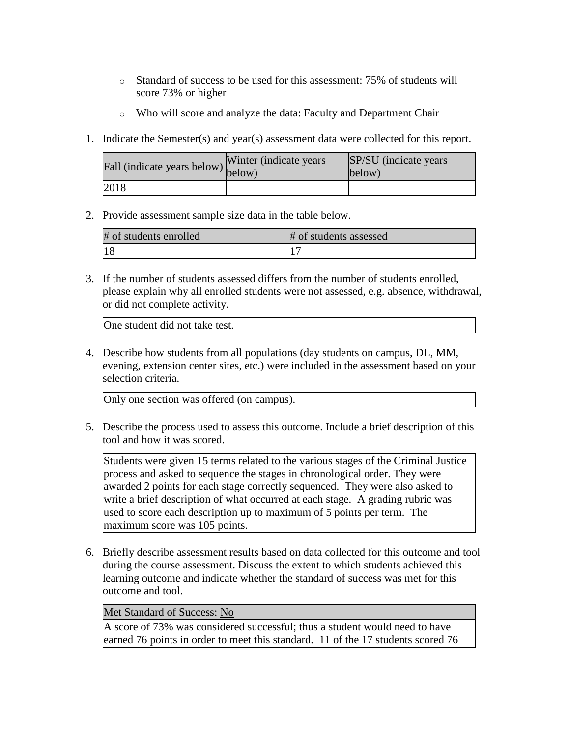- o Standard of success to be used for this assessment: 75% of students will score 73% or higher
- o Who will score and analyze the data: Faculty and Department Chair
- 1. Indicate the Semester(s) and year(s) assessment data were collected for this report.

| Fall (indicate years below) below) | Winter (indicate years) | SP/SU (indicate years)<br>below) |
|------------------------------------|-------------------------|----------------------------------|
| 2018                               |                         |                                  |

2. Provide assessment sample size data in the table below.

| # of students enrolled | # of students assessed |
|------------------------|------------------------|
|                        |                        |

3. If the number of students assessed differs from the number of students enrolled, please explain why all enrolled students were not assessed, e.g. absence, withdrawal, or did not complete activity.

One student did not take test.

4. Describe how students from all populations (day students on campus, DL, MM, evening, extension center sites, etc.) were included in the assessment based on your selection criteria.

Only one section was offered (on campus).

5. Describe the process used to assess this outcome. Include a brief description of this tool and how it was scored.

Students were given 15 terms related to the various stages of the Criminal Justice process and asked to sequence the stages in chronological order. They were awarded 2 points for each stage correctly sequenced. They were also asked to write a brief description of what occurred at each stage. A grading rubric was used to score each description up to maximum of 5 points per term. The maximum score was 105 points.

6. Briefly describe assessment results based on data collected for this outcome and tool during the course assessment. Discuss the extent to which students achieved this learning outcome and indicate whether the standard of success was met for this outcome and tool.

### Met Standard of Success: No

A score of 73% was considered successful; thus a student would need to have earned 76 points in order to meet this standard. 11 of the 17 students scored 76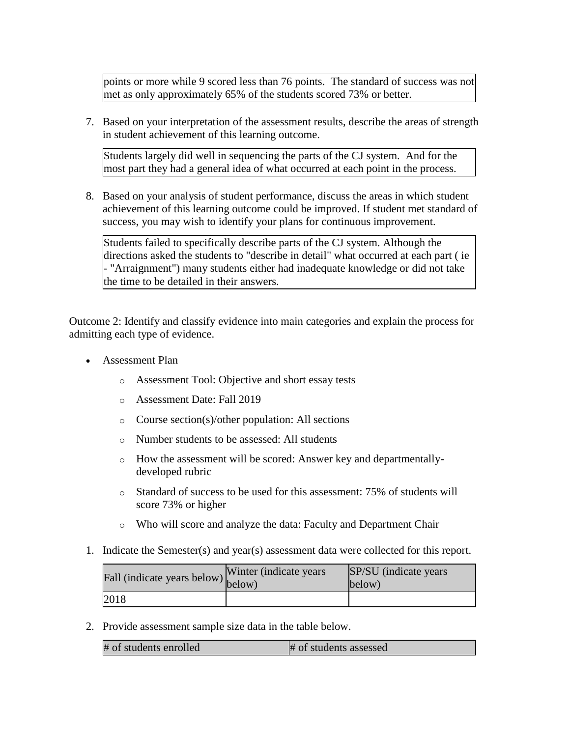points or more while 9 scored less than 76 points. The standard of success was not met as only approximately 65% of the students scored 73% or better.

7. Based on your interpretation of the assessment results, describe the areas of strength in student achievement of this learning outcome.

Students largely did well in sequencing the parts of the CJ system. And for the most part they had a general idea of what occurred at each point in the process.

8. Based on your analysis of student performance, discuss the areas in which student achievement of this learning outcome could be improved. If student met standard of success, you may wish to identify your plans for continuous improvement.

Students failed to specifically describe parts of the CJ system. Although the directions asked the students to "describe in detail" what occurred at each part ( ie - "Arraignment") many students either had inadequate knowledge or did not take the time to be detailed in their answers.

Outcome 2: Identify and classify evidence into main categories and explain the process for admitting each type of evidence.

- Assessment Plan
	- o Assessment Tool: Objective and short essay tests
	- o Assessment Date: Fall 2019
	- o Course section(s)/other population: All sections
	- o Number students to be assessed: All students
	- o How the assessment will be scored: Answer key and departmentallydeveloped rubric
	- o Standard of success to be used for this assessment: 75% of students will score 73% or higher
	- o Who will score and analyze the data: Faculty and Department Chair
- 1. Indicate the Semester(s) and year(s) assessment data were collected for this report.

| Fall (indicate years below) below) | Winter (indicate years) | SP/SU (indicate years)<br>below) |
|------------------------------------|-------------------------|----------------------------------|
| 2018                               |                         |                                  |

2. Provide assessment sample size data in the table below.

| # of students enrolled | # of students assessed |
|------------------------|------------------------|
|------------------------|------------------------|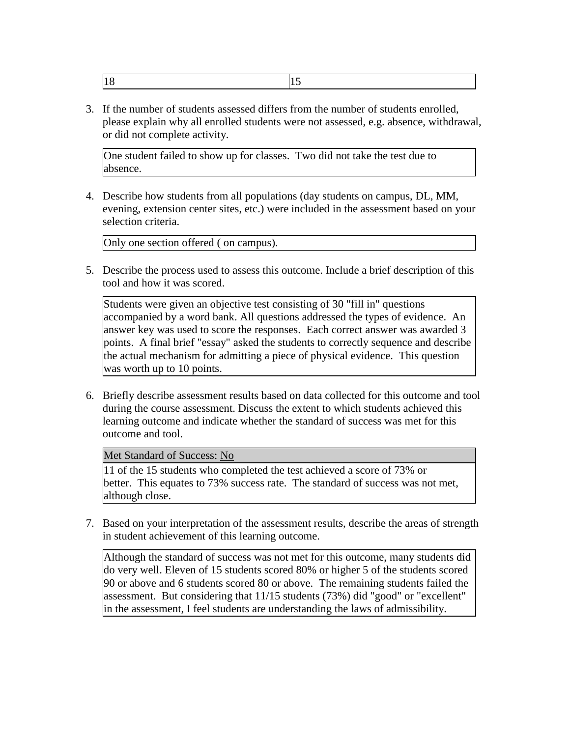|--|--|

3. If the number of students assessed differs from the number of students enrolled, please explain why all enrolled students were not assessed, e.g. absence, withdrawal, or did not complete activity.

One student failed to show up for classes. Two did not take the test due to absence.

4. Describe how students from all populations (day students on campus, DL, MM, evening, extension center sites, etc.) were included in the assessment based on your selection criteria.

Only one section offered ( on campus).

5. Describe the process used to assess this outcome. Include a brief description of this tool and how it was scored.

Students were given an objective test consisting of 30 "fill in" questions accompanied by a word bank. All questions addressed the types of evidence. An answer key was used to score the responses. Each correct answer was awarded 3 points. A final brief "essay" asked the students to correctly sequence and describe the actual mechanism for admitting a piece of physical evidence. This question was worth up to 10 points.

6. Briefly describe assessment results based on data collected for this outcome and tool during the course assessment. Discuss the extent to which students achieved this learning outcome and indicate whether the standard of success was met for this outcome and tool.

Met Standard of Success: No

11 of the 15 students who completed the test achieved a score of 73% or better. This equates to 73% success rate. The standard of success was not met, although close.

7. Based on your interpretation of the assessment results, describe the areas of strength in student achievement of this learning outcome.

Although the standard of success was not met for this outcome, many students did do very well. Eleven of 15 students scored 80% or higher 5 of the students scored 90 or above and 6 students scored 80 or above. The remaining students failed the assessment. But considering that 11/15 students (73%) did "good" or "excellent" in the assessment, I feel students are understanding the laws of admissibility.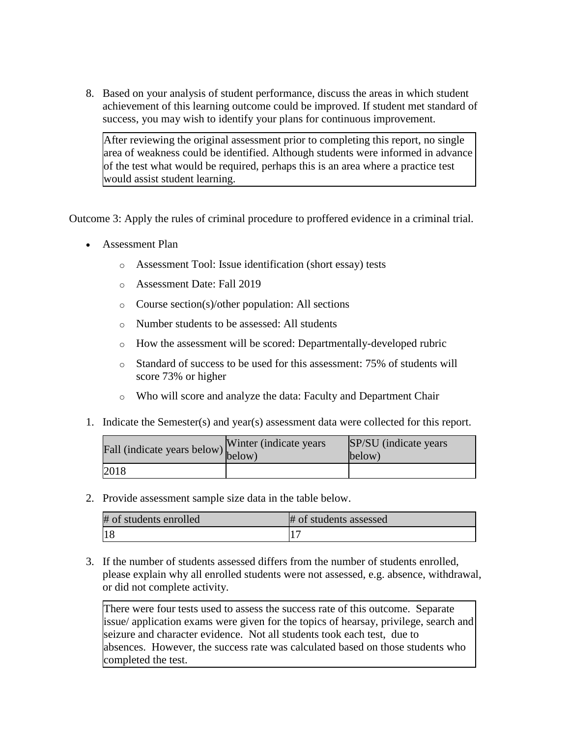8. Based on your analysis of student performance, discuss the areas in which student achievement of this learning outcome could be improved. If student met standard of success, you may wish to identify your plans for continuous improvement.

After reviewing the original assessment prior to completing this report, no single area of weakness could be identified. Although students were informed in advance of the test what would be required, perhaps this is an area where a practice test would assist student learning.

Outcome 3: Apply the rules of criminal procedure to proffered evidence in a criminal trial.

- Assessment Plan
	- o Assessment Tool: Issue identification (short essay) tests
	- o Assessment Date: Fall 2019
	- o Course section(s)/other population: All sections
	- o Number students to be assessed: All students
	- o How the assessment will be scored: Departmentally-developed rubric
	- o Standard of success to be used for this assessment: 75% of students will score 73% or higher
	- o Who will score and analyze the data: Faculty and Department Chair
- 1. Indicate the Semester(s) and year(s) assessment data were collected for this report.

| rall (indicate years below) below) | Winter (indicate years) | SP/SU (indicate years)<br>below) |
|------------------------------------|-------------------------|----------------------------------|
| 2018                               |                         |                                  |

2. Provide assessment sample size data in the table below.

| # of students enrolled | # of students assessed |
|------------------------|------------------------|
|                        |                        |

3. If the number of students assessed differs from the number of students enrolled, please explain why all enrolled students were not assessed, e.g. absence, withdrawal, or did not complete activity.

There were four tests used to assess the success rate of this outcome. Separate issue/ application exams were given for the topics of hearsay, privilege, search and seizure and character evidence. Not all students took each test, due to absences. However, the success rate was calculated based on those students who completed the test.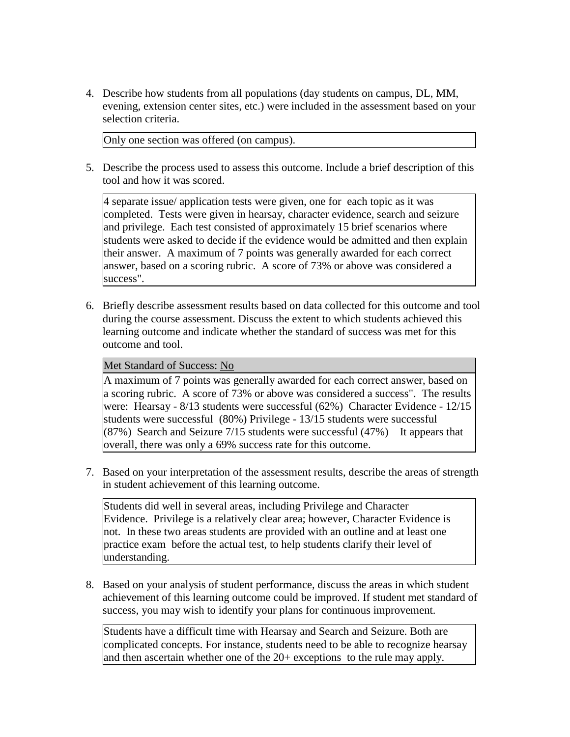4. Describe how students from all populations (day students on campus, DL, MM, evening, extension center sites, etc.) were included in the assessment based on your selection criteria.

Only one section was offered (on campus).

5. Describe the process used to assess this outcome. Include a brief description of this tool and how it was scored.

4 separate issue/ application tests were given, one for each topic as it was completed. Tests were given in hearsay, character evidence, search and seizure and privilege. Each test consisted of approximately 15 brief scenarios where students were asked to decide if the evidence would be admitted and then explain their answer. A maximum of 7 points was generally awarded for each correct answer, based on a scoring rubric. A score of 73% or above was considered a success".

6. Briefly describe assessment results based on data collected for this outcome and tool during the course assessment. Discuss the extent to which students achieved this learning outcome and indicate whether the standard of success was met for this outcome and tool.

## Met Standard of Success: No

A maximum of 7 points was generally awarded for each correct answer, based on a scoring rubric. A score of 73% or above was considered a success". The results were: Hearsay - 8/13 students were successful (62%) Character Evidence - 12/15 students were successful (80%) Privilege - 13/15 students were successful  $(87%)$  Search and Seizure 7/15 students were successful (47%) It appears that overall, there was only a 69% success rate for this outcome.

7. Based on your interpretation of the assessment results, describe the areas of strength in student achievement of this learning outcome.

Students did well in several areas, including Privilege and Character Evidence. Privilege is a relatively clear area; however, Character Evidence is not. In these two areas students are provided with an outline and at least one practice exam before the actual test, to help students clarify their level of understanding.

8. Based on your analysis of student performance, discuss the areas in which student achievement of this learning outcome could be improved. If student met standard of success, you may wish to identify your plans for continuous improvement.

Students have a difficult time with Hearsay and Search and Seizure. Both are complicated concepts. For instance, students need to be able to recognize hearsay and then ascertain whether one of the 20+ exceptions to the rule may apply.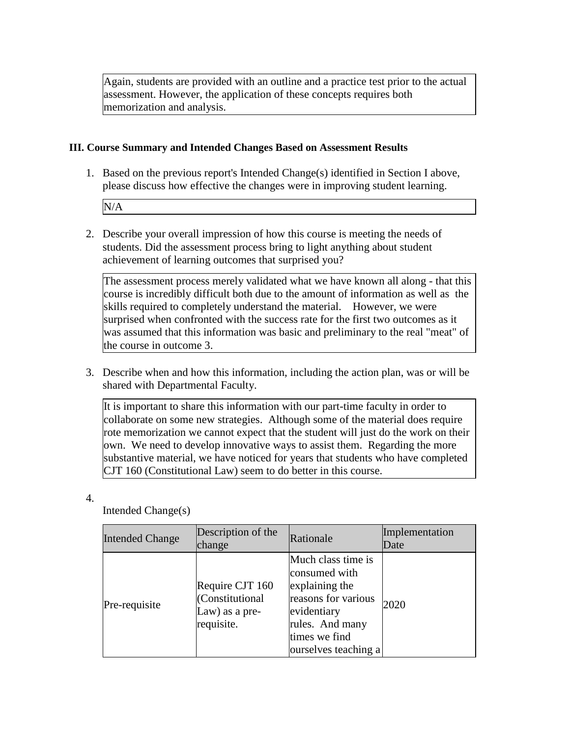Again, students are provided with an outline and a practice test prior to the actual assessment. However, the application of these concepts requires both memorization and analysis.

### **III. Course Summary and Intended Changes Based on Assessment Results**

1. Based on the previous report's Intended Change(s) identified in Section I above, please discuss how effective the changes were in improving student learning.

N/A

2. Describe your overall impression of how this course is meeting the needs of students. Did the assessment process bring to light anything about student achievement of learning outcomes that surprised you?

The assessment process merely validated what we have known all along - that this course is incredibly difficult both due to the amount of information as well as the skills required to completely understand the material. However, we were surprised when confronted with the success rate for the first two outcomes as it was assumed that this information was basic and preliminary to the real "meat" of the course in outcome 3.

3. Describe when and how this information, including the action plan, was or will be shared with Departmental Faculty.

It is important to share this information with our part-time faculty in order to collaborate on some new strategies. Although some of the material does require rote memorization we cannot expect that the student will just do the work on their own. We need to develop innovative ways to assist them. Regarding the more substantive material, we have noticed for years that students who have completed CJT 160 (Constitutional Law) seem to do better in this course.

4.

Intended Change(s)

| <b>Intended Change</b> | Description of the<br>change                                       | Rationale                                                                                                                                               | Implementation<br>Date |
|------------------------|--------------------------------------------------------------------|---------------------------------------------------------------------------------------------------------------------------------------------------------|------------------------|
| Pre-requisite          | Require CJT 160<br>(Constitutional<br>Law) as a pre-<br>requisite. | Much class time is<br>consumed with<br>explaining the<br>reasons for various<br>evidentiary<br>rules. And many<br>times we find<br>ourselves teaching a | 2020                   |